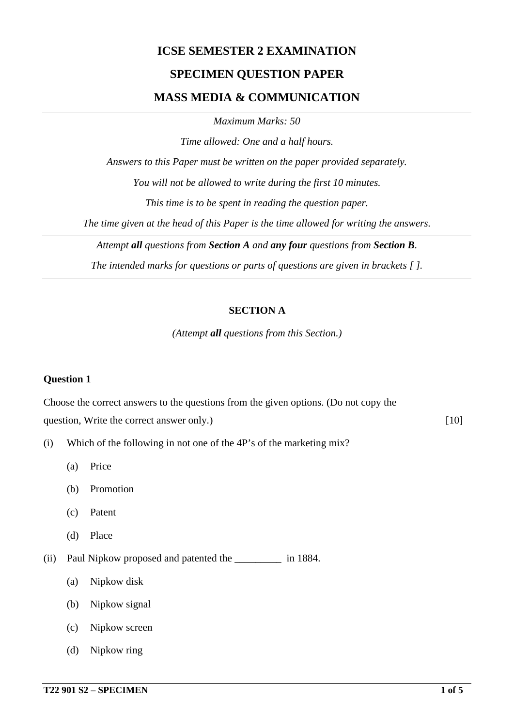# **ICSE SEMESTER 2 EXAMINATION**

## **SPECIMEN QUESTION PAPER**

### **MASS MEDIA & COMMUNICATION**

*Maximum Marks: 50*

*Time allowed: One and a half hours.*

*Answers to this Paper must be written on the paper provided separately.*

*You will not be allowed to write during the first 10 minutes.*

*This time is to be spent in reading the question paper.*

*The time given at the head of this Paper is the time allowed for writing the answers.*

*Attempt all questions from Section A and any four questions from Section B.*

*The intended marks for questions or parts of questions are given in brackets [ ].*

## **SECTION A**

*(Attempt all questions from this Section.)*

#### **Question 1**

Choose the correct answers to the questions from the given options. (Do not copy the question, Write the correct answer only.) [10]

(i) Which of the following in not one of the 4P's of the marketing mix?

- (a) Price
- (b) Promotion
- (c) Patent
- (d) Place
- (ii) Paul Nipkow proposed and patented the \_\_\_\_\_\_\_\_\_ in 1884.
	- (a) Nipkow disk
	- (b) Nipkow signal
	- (c) Nipkow screen
	- (d) Nipkow ring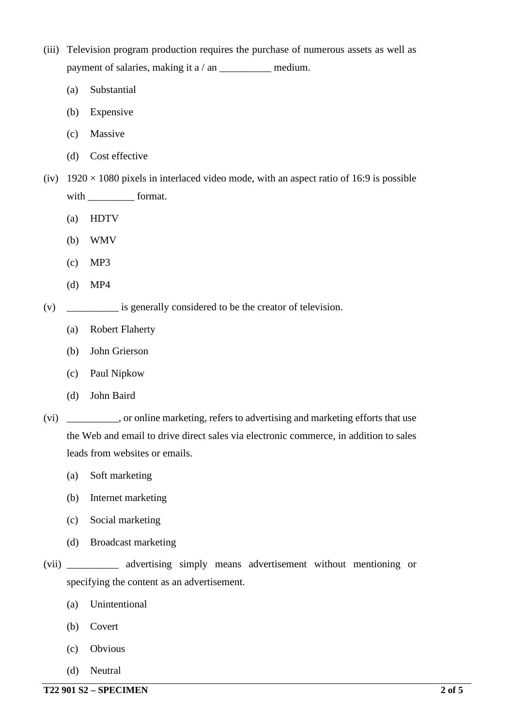- (iii) Television program production requires the purchase of numerous assets as well as payment of salaries, making it a / an \_\_\_\_\_\_\_\_\_\_\_ medium.
	- (a) Substantial
	- (b) Expensive
	- (c) Massive
	- (d) Cost effective
- (iv)  $1920 \times 1080$  pixels in interlaced video mode, with an aspect ratio of 16:9 is possible with \_\_\_\_\_\_\_\_\_\_\_\_\_\_ format.
	- (a) HDTV
	- (b) WMV
	- (c) MP3
	- (d) MP4

(v) \_\_\_\_\_\_\_\_\_\_ is generally considered to be the creator of television.

- (a) Robert Flaherty
- (b) John Grierson
- (c) Paul Nipkow
- (d) John Baird
- (vi) \_\_\_\_\_\_\_\_\_\_, or online marketing, refers to advertising and marketing efforts that use the Web and email to drive direct sales via electronic commerce, in addition to sales leads from websites or emails.
	- (a) Soft marketing
	- (b) Internet marketing
	- (c) Social marketing
	- (d) Broadcast marketing
- (vii) \_\_\_\_\_\_\_\_\_\_ advertising simply means advertisement without mentioning or specifying the content as an advertisement.
	- (a) Unintentional
	- (b) Covert
	- (c) Obvious
	- (d) Neutral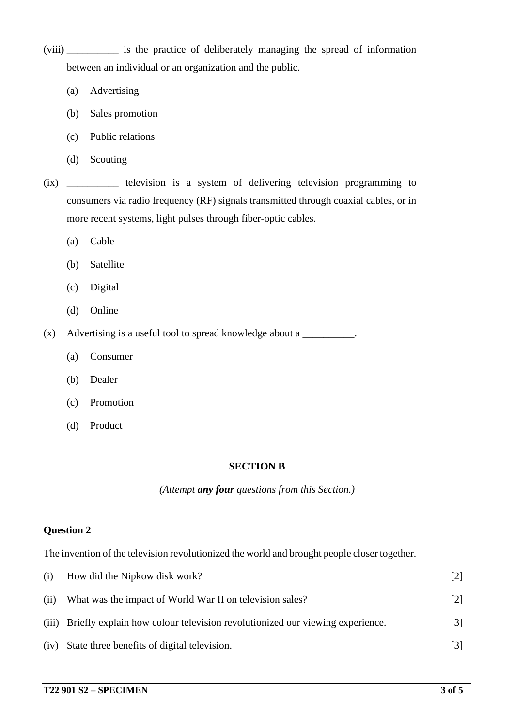(viii) \_\_\_\_\_\_\_\_\_\_ is the practice of deliberately managing the spread of information between an individual or an organization and the public.

- (a) Advertising
- (b) Sales promotion
- (c) Public relations
- (d) Scouting
- (ix) \_\_\_\_\_\_\_\_\_\_ television is a system of delivering television programming to consumers via radio frequency (RF) signals transmitted through coaxial cables, or in more recent systems, light pulses through fiber-optic cables.
	- (a) Cable
	- (b) Satellite
	- (c) Digital
	- (d) Online

(x) Advertising is a useful tool to spread knowledge about a \_\_\_\_\_\_\_\_\_\_.

- (a) Consumer
- (b) Dealer
- (c) Promotion
- (d) Product

#### **SECTION B**

#### *(Attempt any four questions from this Section.)*

### **Question 2**

The invention of the television revolutionized the world and brought people closer together.

| (i)  | How did the Nipkow disk work?                                                      |                   |
|------|------------------------------------------------------------------------------------|-------------------|
| (ii) | What was the impact of World War II on television sales?                           | $\lceil 2 \rceil$ |
|      | (iii) Briefly explain how colour television revolutionized our viewing experience. | $\lceil 3 \rceil$ |
| (iv) | State three benefits of digital television.                                        |                   |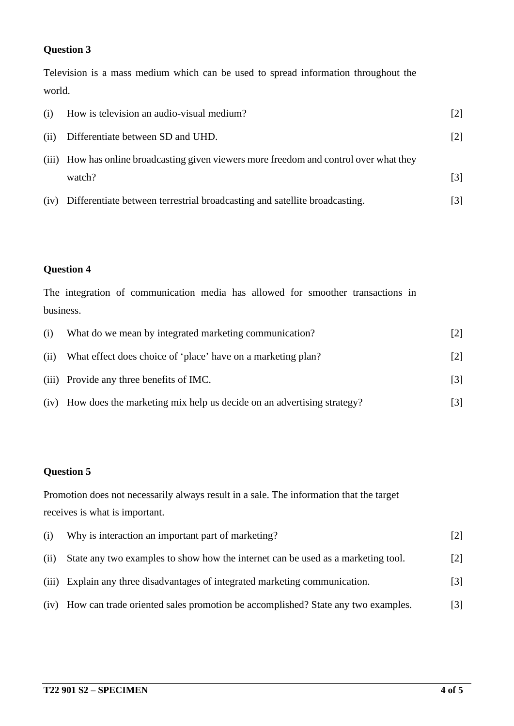### **Question 3**

Television is a mass medium which can be used to spread information throughout the world.

| (i)  | How is television an audio-visual medium?                                               | $\lceil 2 \rceil$ |
|------|-----------------------------------------------------------------------------------------|-------------------|
| (ii) | Differentiate between SD and UHD.                                                       | $\lceil 2 \rceil$ |
|      | (iii) How has online broadcasting given viewers more freedom and control over what they |                   |
|      | watch?                                                                                  | [3]               |
| (iv) | Differentiate between terrestrial broadcasting and satellite broadcasting.              |                   |

### **Question 4**

The integration of communication media has allowed for smoother transactions in business.

| (i)  | What do we mean by integrated marketing communication?                     | [2]               |
|------|----------------------------------------------------------------------------|-------------------|
| (ii) | What effect does choice of 'place' have on a marketing plan?               | $\lceil 2 \rceil$ |
|      | (iii) Provide any three benefits of IMC.                                   | $\lceil 3 \rceil$ |
|      | (iv) How does the marketing mix help us decide on an advertising strategy? | [3]               |

### **Question 5**

Promotion does not necessarily always result in a sale. The information that the target receives is what is important.

| (i)  | Why is interaction an important part of marketing?                                   |                   |
|------|--------------------------------------------------------------------------------------|-------------------|
| (ii) | State any two examples to show how the internet can be used as a marketing tool.     | $\lceil 2 \rceil$ |
|      | (iii) Explain any three disadvantages of integrated marketing communication.         | $\lceil 3 \rceil$ |
|      | (iv) How can trade oriented sales promotion be accomplished? State any two examples. | [3]               |